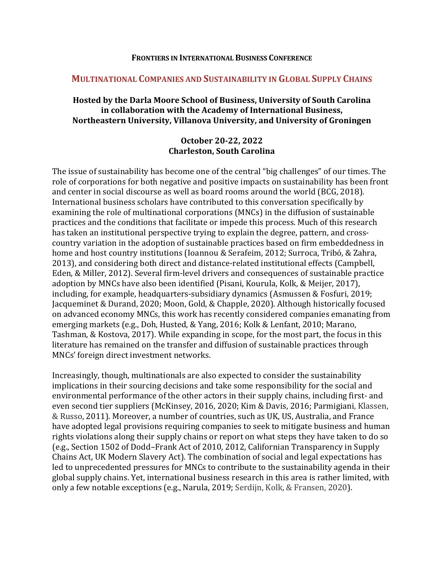#### **FRONTIERS IN INTERNATIONAL BUSINESS CONFERENCE**

#### **MULTINATIONAL COMPANIES AND SUSTAINABILITY IN GLOBAL SUPPLY CHAINS**

### **Hosted by the Darla Moore School of Business, University of South Carolina** in collaboration with the Academy of International Business, **Northeastern University, Villanova University, and University of Groningen**

### **October 20-22, 2022 Charleston, South Carolina**

The issue of sustainability has become one of the central "big challenges" of our times. The role of corporations for both negative and positive impacts on sustainability has been front and center in social discourse as well as board rooms around the world (BCG, 2018). International business scholars have contributed to this conversation specifically by examining the role of multinational corporations (MNCs) in the diffusion of sustainable practices and the conditions that facilitate or impede this process. Much of this research has taken an institutional perspective trying to explain the degree, pattern, and crosscountry variation in the adoption of sustainable practices based on firm embeddedness in home and host country institutions (Ioannou & Serafeim, 2012; Surroca, Tribó, & Zahra, 2013), and considering both direct and distance-related institutional effects (Campbell, Eden, & Miller, 2012). Several firm-level drivers and consequences of sustainable practice adoption by MNCs have also been identified (Pisani, Kourula, Kolk, & Meijer, 2017), including, for example, headquarters-subsidiary dynamics (Asmussen & Fosfuri, 2019; Jacqueminet & Durand, 2020; Moon, Gold, & Chapple, 2020). Although historically focused on advanced economy MNCs, this work has recently considered companies emanating from emerging markets (e.g., Doh, Husted, & Yang, 2016; Kolk & Lenfant, 2010; Marano, Tashman, & Kostova, 2017). While expanding in scope, for the most part, the focus in this literature has remained on the transfer and diffusion of sustainable practices through MNCs' foreign direct investment networks.

Increasingly, though, multinationals are also expected to consider the sustainability implications in their sourcing decisions and take some responsibility for the social and environmental performance of the other actors in their supply chains, including first- and even second tier suppliers (McKinsey, 2016, 2020; Kim & Davis, 2016; Parmigiani, Klassen, & Russo, 2011). Moreover, a number of countries, such as UK, US, Australia, and France have adopted legal provisions requiring companies to seek to mitigate business and human rights violations along their supply chains or report on what steps they have taken to do so (e.g., Section 1502 of Dodd–Frank Act of 2010, 2012, Californian Transparency in Supply Chains Act, UK Modern Slavery Act). The combination of social and legal expectations has led to unprecedented pressures for MNCs to contribute to the sustainability agenda in their global supply chains. Yet, international business research in this area is rather limited, with only a few notable exceptions (e.g., Narula, 2019; Serdijn, Kolk, & Fransen, 2020).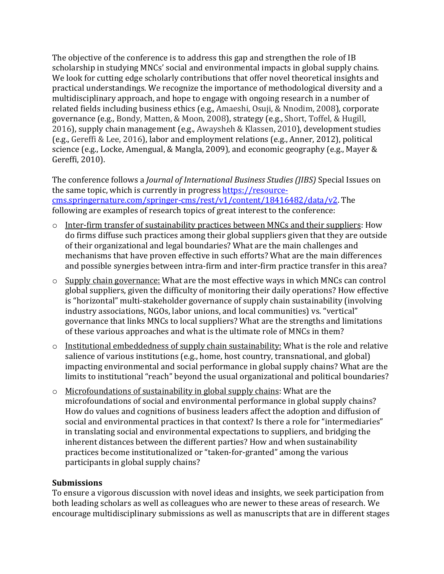The objective of the conference is to address this gap and strengthen the role of IB scholarship in studying MNCs' social and environmental impacts in global supply chains. We look for cutting edge scholarly contributions that offer novel theoretical insights and practical understandings. We recognize the importance of methodological diversity and a multidisciplinary approach, and hope to engage with ongoing research in a number of related fields including business ethics (e.g., Amaeshi, Osuji, & Nnodim, 2008), corporate governance (e.g., Bondy, Matten, & Moon, 2008), strategy (e.g., Short, Toffel, & Hugill, 2016), supply chain management (e.g., Awaysheh & Klassen, 2010), development studies (e.g., Gereffi & Lee, 2016), labor and employment relations (e.g., Anner, 2012), political science (e.g., Locke, Amengual, & Mangla, 2009), and economic geography (e.g., Mayer & Gereffi, 2010).

The conference follows a *Journal of International Business Studies (JIBS)* Special Issues on the same topic, which is currently in progress https://resourcecms.springernature.com/springer-cms/rest/v1/content/18416482/data/v2. The following are examples of research topics of great interest to the conference:

- $\circ$  Inter-firm transfer of sustainability practices between MNCs and their suppliers: How do firms diffuse such practices among their global suppliers given that they are outside of their organizational and legal boundaries? What are the main challenges and mechanisms that have proven effective in such efforts? What are the main differences and possible synergies between intra-firm and inter-firm practice transfer in this area?
- $\circ$  Supply chain governance: What are the most effective ways in which MNCs can control global suppliers, given the difficulty of monitoring their daily operations? How effective is "horizontal" multi-stakeholder governance of supply chain sustainability (involving industry associations, NGOs, labor unions, and local communities) vs. "vertical" governance that links MNCs to local suppliers? What are the strengths and limitations of these various approaches and what is the ultimate role of MNCs in them?
- $\circ$  Institutional embeddedness of supply chain sustainability: What is the role and relative salience of various institutions  $(e.g., home, host country, transactional, and global)$ impacting environmental and social performance in global supply chains? What are the limits to institutional "reach" beyond the usual organizational and political boundaries?
- $\circ$  Microfoundations of sustainability in global supply chains: What are the microfoundations of social and environmental performance in global supply chains? How do values and cognitions of business leaders affect the adoption and diffusion of social and environmental practices in that context? Is there a role for "intermediaries" in translating social and environmental expectations to suppliers, and bridging the inherent distances between the different parties? How and when sustainability practices become institutionalized or "taken-for-granted" among the various participants in global supply chains?

### **Submissions**

To ensure a vigorous discussion with novel ideas and insights, we seek participation from both leading scholars as well as colleagues who are newer to these areas of research. We encourage multidisciplinary submissions as well as manuscripts that are in different stages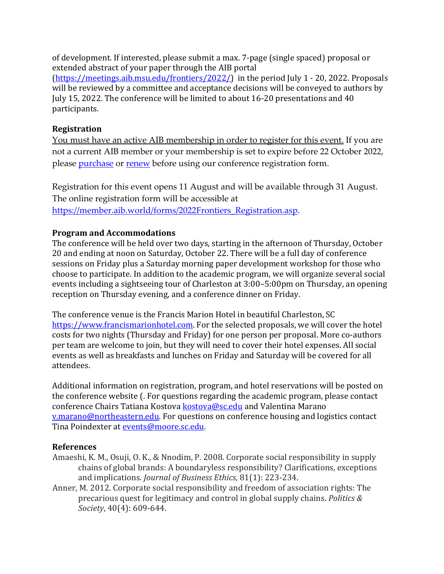of development. If interested, please submit a max. 7-page (single spaced) proposal or extended abstract of your paper through the AIB portal

 $(\text{https://meetings.aib.msu.edu/frontiers/2022/})$  in the period  $\text{July 1 - 20, 2022.}$  Proposals will be reviewed by a committee and acceptance decisions will be conveyed to authors by July 15, 2022. The conference will be limited to about 16-20 presentations and 40 participants.

## **Registration**

You must have an active AIB membership in order to register for this event. If you are not a current AIB member or your membership is set to expire before 22 October 2022, please purchase or renew before using our conference registration form.

Registration for this event opens 11 August and will be available through 31 August. The online registration form will be accessible at https://member.aib.world/forms/2022Frontiers\_Registration.asp.

# **Program and Accommodations**

The conference will be held over two days, starting in the afternoon of Thursday, October 20 and ending at noon on Saturday, October 22. There will be a full day of conference sessions on Friday plus a Saturday morning paper development workshop for those who choose to participate. In addition to the academic program, we will organize several social events including a sightseeing tour of Charleston at 3:00–5:00pm on Thursday, an opening reception on Thursday evening, and a conference dinner on Friday.

The conference venue is the Francis Marion Hotel in beautiful Charleston, SC https://www.francismarionhotel.com. For the selected proposals, we will cover the hotel costs for two nights (Thursday and Friday) for one person per proposal. More co-authors per team are welcome to join, but they will need to cover their hotel expenses. All social events as well as breakfasts and lunches on Friday and Saturday will be covered for all attendees. 

Additional information on registration, program, and hotel reservations will be posted on the conference website (. For questions regarding the academic program, please contact conference Chairs Tatiana Kostova **kostova@sc.edu** and Valentina Marano v.marano@northeastern.edu. For questions on conference housing and logistics contact Tina Poindexter at events@moore.sc.edu.

# **References**

- Amaeshi, K. M., Osuji, O. K., & Nnodim, P. 2008. Corporate social responsibility in supply chains of global brands: A boundaryless responsibility? Clarifications, exceptions and implications. *Journal of Business Ethics*, 81(1): 223-234.
- Anner, M. 2012. Corporate social responsibility and freedom of association rights: The precarious quest for legitimacy and control in global supply chains. *Politics & Society*, 40(4): 609-644.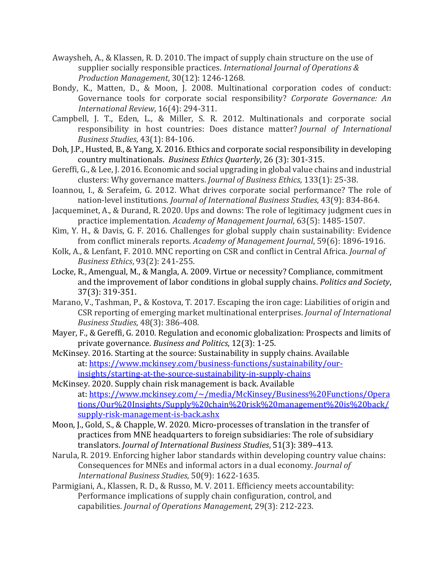- Awaysheh, A., & Klassen, R. D. 2010. The impact of supply chain structure on the use of supplier socially responsible practices. *International Journal of Operations & Production Management*, 30(12): 1246-1268.
- Bondy, K., Matten, D., & Moon, J. 2008. Multinational corporation codes of conduct: Governance tools for corporate social responsibility? *Corporate Governance: An International Review*, 16(4): 294-311.
- Campbell, J. T., Eden, L., & Miller, S. R. 2012. Multinationals and corporate social responsibility in host countries: Does distance matter? *Journal of International Business Studies*, 43(1): 84-106.
- Doh, J.P., Husted, B., & Yang, X. 2016. Ethics and corporate social responsibility in developing country multinationals. Business Ethics Quarterly, 26 (3): 301-315.
- Gereffi, G., & Lee, J. 2016. Economic and social upgrading in global value chains and industrial clusters: Why governance matters. *Journal of Business Ethics*, 133(1): 25-38.
- Ioannou, I., & Serafeim, G. 2012. What drives corporate social performance? The role of nation-level institutions. *Journal of International Business Studies*, 43(9): 834-864.
- Jacqueminet, A., & Durand, R. 2020. Ups and downs: The role of legitimacy judgment cues in practice implementation. *Academy of Management Journal*, 63(5): 1485-1507.
- Kim, Y. H., & Davis, G. F. 2016. Challenges for global supply chain sustainability: Evidence from conflict minerals reports. *Academy of Management Journal*, 59(6): 1896-1916.
- Kolk, A., & Lenfant, F. 2010. MNC reporting on CSR and conflict in Central Africa. *Journal of Business Ethics*, 93(2): 241-255.
- Locke, R., Amengual, M., & Mangla, A. 2009. Virtue or necessity? Compliance, commitment and the improvement of labor conditions in global supply chains. *Politics and Society*, 37(3): 319-351.
- Marano, V., Tashman, P., & Kostova, T. 2017. Escaping the iron cage: Liabilities of origin and CSR reporting of emerging market multinational enterprises. *Journal of International Business Studies*, 48(3): 386-408.
- Mayer, F., & Gereffi, G. 2010. Regulation and economic globalization: Prospects and limits of private governance. *Business and Politics*, 12(3): 1-25.
- McKinsey. 2016. Starting at the source: Sustainability in supply chains. Available at: https://www.mckinsey.com/business-functions/sustainability/ourinsights/starting-at-the-source-sustainability-in-supply-chains

McKinsey. 2020. Supply chain risk management is back. Available at: https://www.mckinsey.com/~/media/McKinsey/Business%20Functions/Opera tions/Our%20Insights/Supply%20chain%20risk%20management%20is%20back/ supply-risk-management-is-back.ashx

- Moon, J., Gold, S., & Chapple, W. 2020. Micro-processes of translation in the transfer of practices from MNE headquarters to foreign subsidiaries: The role of subsidiary translators. *Journal of International Business Studies*, 51(3): 389-413.
- Narula, R. 2019. Enforcing higher labor standards within developing country value chains: Consequences for MNEs and informal actors in a dual economy. *Journal of International Business Studies*, 50(9): 1622-1635.
- Parmigiani, A., Klassen, R. D., & Russo, M. V. 2011. Efficiency meets accountability: Performance implications of supply chain configuration, control, and capabilities. *Journal of Operations Management*, 29(3): 212-223.